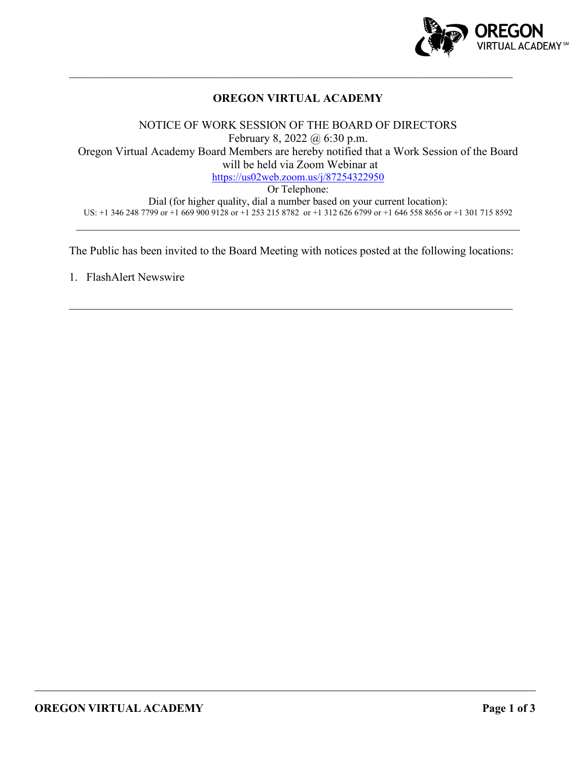

# **OREGON VIRTUAL ACADEMY**

 $\mathcal{L}_\mathcal{L} = \mathcal{L}_\mathcal{L} = \mathcal{L}_\mathcal{L} = \mathcal{L}_\mathcal{L} = \mathcal{L}_\mathcal{L} = \mathcal{L}_\mathcal{L} = \mathcal{L}_\mathcal{L} = \mathcal{L}_\mathcal{L} = \mathcal{L}_\mathcal{L} = \mathcal{L}_\mathcal{L} = \mathcal{L}_\mathcal{L} = \mathcal{L}_\mathcal{L} = \mathcal{L}_\mathcal{L} = \mathcal{L}_\mathcal{L} = \mathcal{L}_\mathcal{L} = \mathcal{L}_\mathcal{L} = \mathcal{L}_\mathcal{L}$ 

NOTICE OF WORK SESSION OF THE BOARD OF DIRECTORS February 8, 2022 @ 6:30 p.m. Oregon Virtual Academy Board Members are hereby notified that a Work Session of the Board will be held via Zoom Webinar at <https://us02web.zoom.us/j/87254322950> Or Telephone:

Dial (for higher quality, dial a number based on your current location): US: +1 346 248 7799 or +1 669 900 9128 or +1 253 215 8782 or +1 312 626 6799 or +1 646 558 8656 or +1 301 715 8592

The Public has been invited to the Board Meeting with notices posted at the following locations:

\_\_\_\_\_\_\_\_\_\_\_\_\_\_\_\_\_\_\_\_\_\_\_\_\_\_\_\_\_\_\_\_\_\_\_\_\_\_\_\_\_\_\_\_\_\_\_\_\_\_\_\_\_\_\_\_\_\_\_\_\_\_\_\_\_\_\_\_\_\_\_\_\_\_\_\_\_

1. FlashAlert Newswire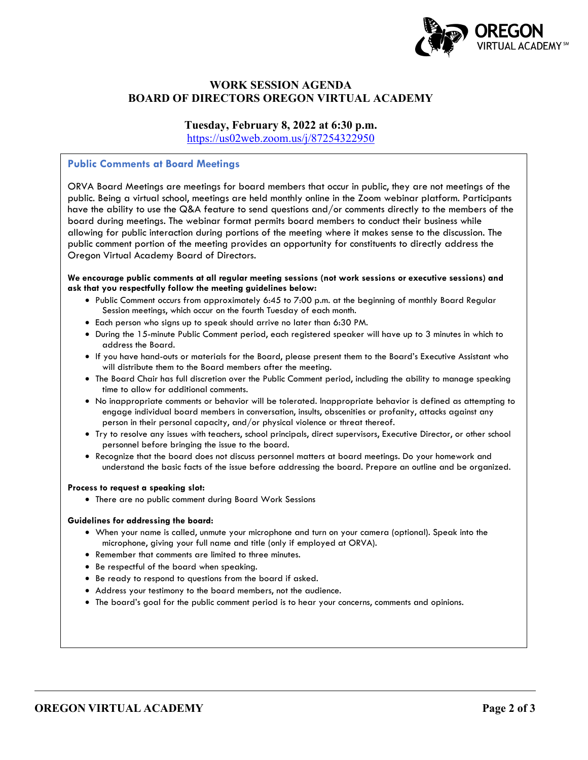

## **WORK SESSION AGENDA BOARD OF DIRECTORS OREGON VIRTUAL ACADEMY**

### **Tuesday, February 8, 2022 at 6:30 p.m.**

<https://us02web.zoom.us/j/87254322950>

#### **Public Comments at Board Meetings**

ORVA Board Meetings are meetings for board members that occur in public, they are not meetings of the public. Being a virtual school, meetings are held monthly online in the Zoom webinar platform. Participants have the ability to use the Q&A feature to send questions and/or comments directly to the members of the board during meetings. The webinar format permits board members to conduct their business while allowing for public interaction during portions of the meeting where it makes sense to the discussion. The public comment portion of the meeting provides an opportunity for constituents to directly address the Oregon Virtual Academy Board of Directors.

#### **We encourage public comments at all regular meeting sessions (not work sessions or executive sessions) and ask that you respectfully follow the meeting guidelines below:**

- Public Comment occurs from approximately 6:45 to 7:00 p.m. at the beginning of monthly Board Regular Session meetings, which occur on the fourth Tuesday of each month.
- Each person who signs up to speak should arrive no later than 6:30 PM.
- During the 15-minute Public Comment period, each registered speaker will have up to 3 minutes in which to address the Board.
- If you have hand-outs or materials for the Board, please present them to the Board's Executive Assistant who will distribute them to the Board members after the meeting.
- The Board Chair has full discretion over the Public Comment period, including the ability to manage speaking time to allow for additional comments.
- No inappropriate comments or behavior will be tolerated. Inappropriate behavior is defined as attempting to engage individual board members in conversation, insults, obscenities or profanity, attacks against any person in their personal capacity, and/or physical violence or threat thereof.
- Try to resolve any issues with teachers, school principals, direct supervisors, Executive Director, or other school personnel before bringing the issue to the board.
- Recognize that the board does not discuss personnel matters at board meetings. Do your homework and understand the basic facts of the issue before addressing the board. Prepare an outline and be organized.

#### **Process to request a speaking slot:**

• There are no public comment during Board Work Sessions

#### **Guidelines for addressing the board:**

- When your name is called, unmute your microphone and turn on your camera (optional). Speak into the microphone, giving your full name and title (only if employed at ORVA).
- Remember that comments are limited to three minutes.
- Be respectful of the board when speaking.
- Be ready to respond to questions from the board if asked.
- Address your testimony to the board members, not the audience.
- The board's goal for the public comment period is to hear your concerns, comments and opinions.